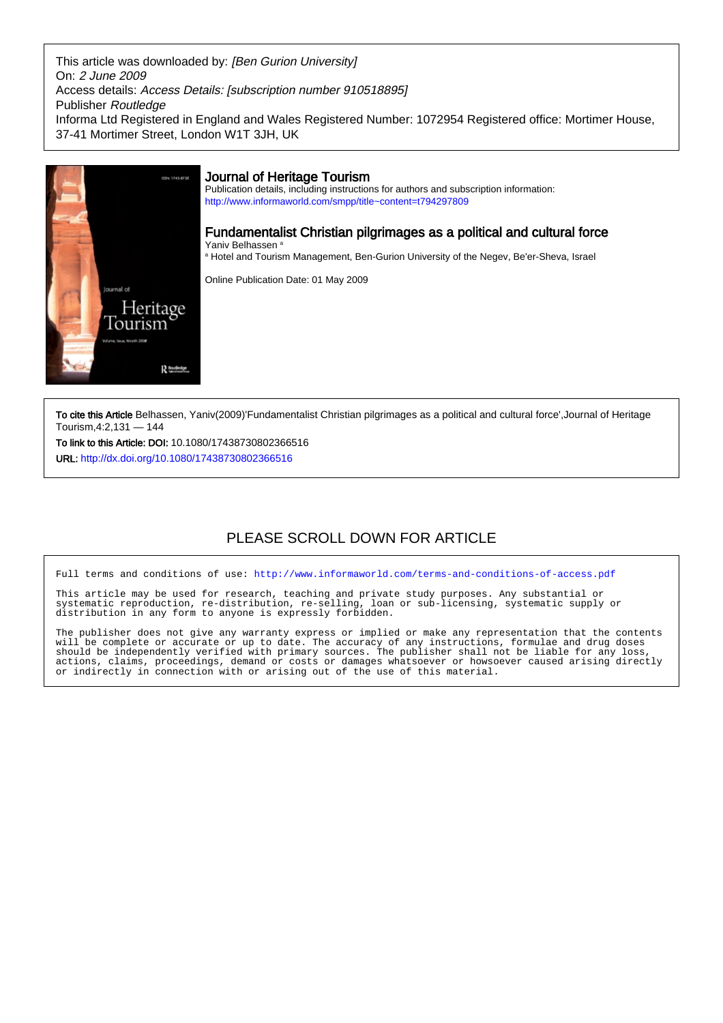This article was downloaded by: [Ben Gurion University] On: 2 June 2009 Access details: Access Details: [subscription number 910518895] Publisher Routledge Informa Ltd Registered in England and Wales Registered Number: 1072954 Registered office: Mortimer House, 37-41 Mortimer Street, London W1T 3JH, UK



To cite this Article Belhassen, Yaniv(2009)'Fundamentalist Christian pilgrimages as a political and cultural force',Journal of Heritage Tourism,4:2,131 — 144

To link to this Article: DOI: 10.1080/17438730802366516 URL: <http://dx.doi.org/10.1080/17438730802366516>

# PLEASE SCROLL DOWN FOR ARTICLE

Full terms and conditions of use:<http://www.informaworld.com/terms-and-conditions-of-access.pdf>

This article may be used for research, teaching and private study purposes. Any substantial or systematic reproduction, re-distribution, re-selling, loan or sub-licensing, systematic supply or distribution in any form to anyone is expressly forbidden.

The publisher does not give any warranty express or implied or make any representation that the contents will be complete or accurate or up to date. The accuracy of any instructions, formulae and drug doses should be independently verified with primary sources. The publisher shall not be liable for any loss, actions, claims, proceedings, demand or costs or damages whatsoever or howsoever caused arising directly or indirectly in connection with or arising out of the use of this material.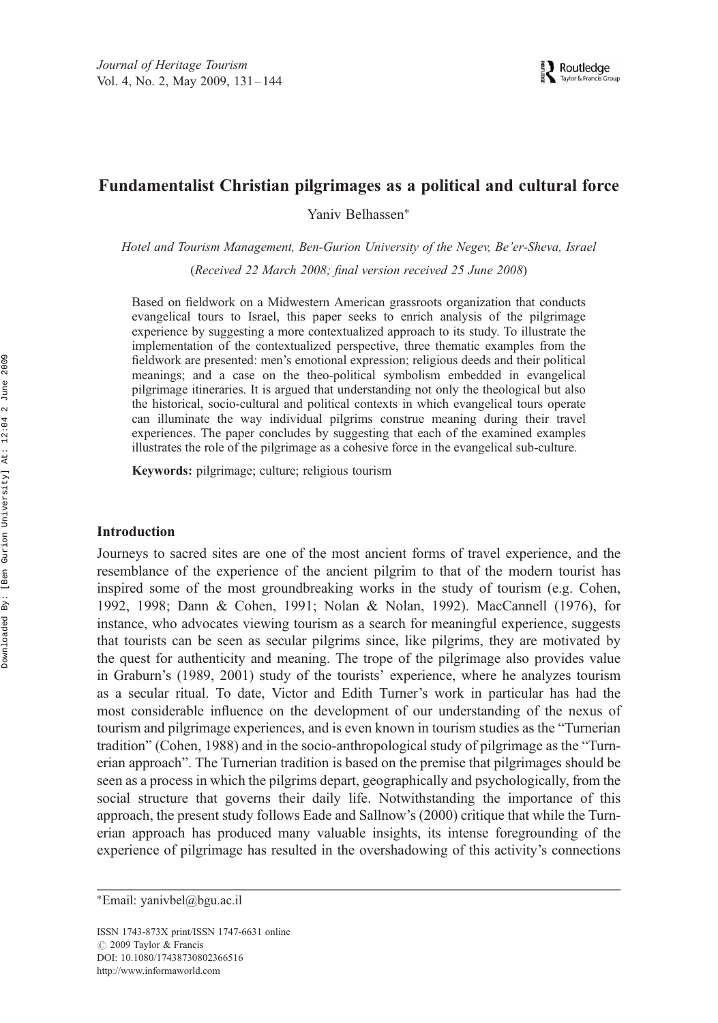## Fundamentalist Christian pilgrimages as a political and cultural force

Yaniv Belhassen\*

Hotel and Tourism Management, Ben-Gurion University of the Negev, Be'er-Sheva, Israel

(Received 22 March 2008; final version received 25 June 2008)

Based on fieldwork on a Midwestern American grassroots organization that conducts evangelical tours to Israel, this paper seeks to enrich analysis of the pilgrimage experience by suggesting a more contextualized approach to its study. To illustrate the implementation of the contextualized perspective, three thematic examples from the fieldwork are presented: men's emotional expression; religious deeds and their political meanings; and a case on the theo-political symbolism embedded in evangelical pilgrimage itineraries. It is argued that understanding not only the theological but also the historical, socio-cultural and political contexts in which evangelical tours operate can illuminate the way individual pilgrims construe meaning during their travel experiences. The paper concludes by suggesting that each of the examined examples illustrates the role of the pilgrimage as a cohesive force in the evangelical sub-culture.

Keywords: pilgrimage; culture; religious tourism

## Introduction

Journeys to sacred sites are one of the most ancient forms of travel experience, and the resemblance of the experience of the ancient pilgrim to that of the modern tourist has inspired some of the most groundbreaking works in the study of tourism (e.g. Cohen, 1992, 1998; Dann & Cohen, 1991; Nolan & Nolan, 1992). MacCannell (1976), for instance, who advocates viewing tourism as a search for meaningful experience, suggests that tourists can be seen as secular pilgrims since, like pilgrims, they are motivated by the quest for authenticity and meaning. The trope of the pilgrimage also provides value in Graburn's (1989, 2001) study of the tourists' experience, where he analyzes tourism as a secular ritual. To date, Victor and Edith Turner's work in particular has had the most considerable influence on the development of our understanding of the nexus of tourism and pilgrimage experiences, and is even known in tourism studies as the "Turnerian tradition" (Cohen, 1988) and in the socio-anthropological study of pilgrimage as the "Turnerian approach". The Turnerian tradition is based on the premise that pilgrimages should be seen as a process in which the pilgrims depart, geographically and psychologically, from the social structure that governs their daily life. Notwithstanding the importance of this approach, the present study follows Eade and Sallnow's (2000) critique that while the Turnerian approach has produced many valuable insights, its intense foregrounding of the experience of pilgrimage has resulted in the overshadowing of this activity's connections

ISSN 1743-873X print/ISSN 1747-6631 online C 2009 Taylor & Francis DOI: 10.1080/17438730802366516 http://www.informaworld.com

<sup>-</sup>Email: yanivbel@bgu.ac.il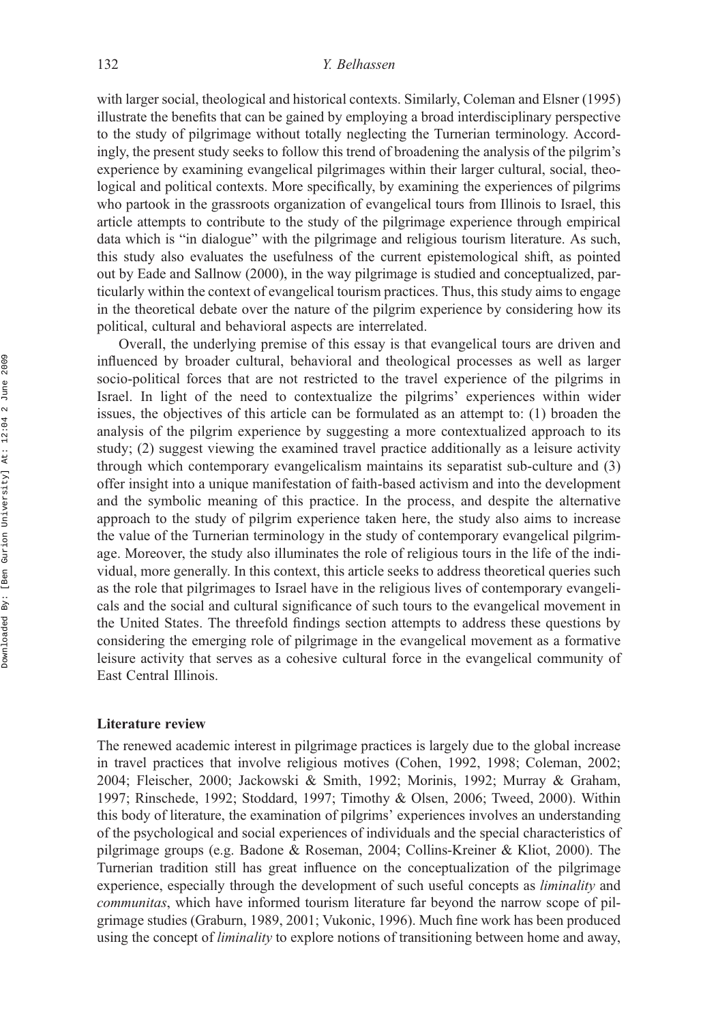with larger social, theological and historical contexts. Similarly, Coleman and Elsner (1995) illustrate the benefits that can be gained by employing a broad interdisciplinary perspective to the study of pilgrimage without totally neglecting the Turnerian terminology. Accordingly, the present study seeks to follow this trend of broadening the analysis of the pilgrim's experience by examining evangelical pilgrimages within their larger cultural, social, theological and political contexts. More specifically, by examining the experiences of pilgrims who partook in the grassroots organization of evangelical tours from Illinois to Israel, this article attempts to contribute to the study of the pilgrimage experience through empirical data which is "in dialogue" with the pilgrimage and religious tourism literature. As such, this study also evaluates the usefulness of the current epistemological shift, as pointed out by Eade and Sallnow (2000), in the way pilgrimage is studied and conceptualized, particularly within the context of evangelical tourism practices. Thus, this study aims to engage in the theoretical debate over the nature of the pilgrim experience by considering how its political, cultural and behavioral aspects are interrelated.

Overall, the underlying premise of this essay is that evangelical tours are driven and influenced by broader cultural, behavioral and theological processes as well as larger socio-political forces that are not restricted to the travel experience of the pilgrims in Israel. In light of the need to contextualize the pilgrims' experiences within wider issues, the objectives of this article can be formulated as an attempt to: (1) broaden the analysis of the pilgrim experience by suggesting a more contextualized approach to its study; (2) suggest viewing the examined travel practice additionally as a leisure activity through which contemporary evangelicalism maintains its separatist sub-culture and (3) offer insight into a unique manifestation of faith-based activism and into the development and the symbolic meaning of this practice. In the process, and despite the alternative approach to the study of pilgrim experience taken here, the study also aims to increase the value of the Turnerian terminology in the study of contemporary evangelical pilgrimage. Moreover, the study also illuminates the role of religious tours in the life of the individual, more generally. In this context, this article seeks to address theoretical queries such as the role that pilgrimages to Israel have in the religious lives of contemporary evangelicals and the social and cultural significance of such tours to the evangelical movement in the United States. The threefold findings section attempts to address these questions by considering the emerging role of pilgrimage in the evangelical movement as a formative leisure activity that serves as a cohesive cultural force in the evangelical community of East Central Illinois.

## Literature review

The renewed academic interest in pilgrimage practices is largely due to the global increase in travel practices that involve religious motives (Cohen, 1992, 1998; Coleman, 2002; 2004; Fleischer, 2000; Jackowski & Smith, 1992; Morinis, 1992; Murray & Graham, 1997; Rinschede, 1992; Stoddard, 1997; Timothy & Olsen, 2006; Tweed, 2000). Within this body of literature, the examination of pilgrims' experiences involves an understanding of the psychological and social experiences of individuals and the special characteristics of pilgrimage groups (e.g. Badone & Roseman, 2004; Collins-Kreiner & Kliot, 2000). The Turnerian tradition still has great influence on the conceptualization of the pilgrimage experience, especially through the development of such useful concepts as liminality and communitas, which have informed tourism literature far beyond the narrow scope of pilgrimage studies (Graburn, 1989, 2001; Vukonic, 1996). Much fine work has been produced using the concept of *liminality* to explore notions of transitioning between home and away,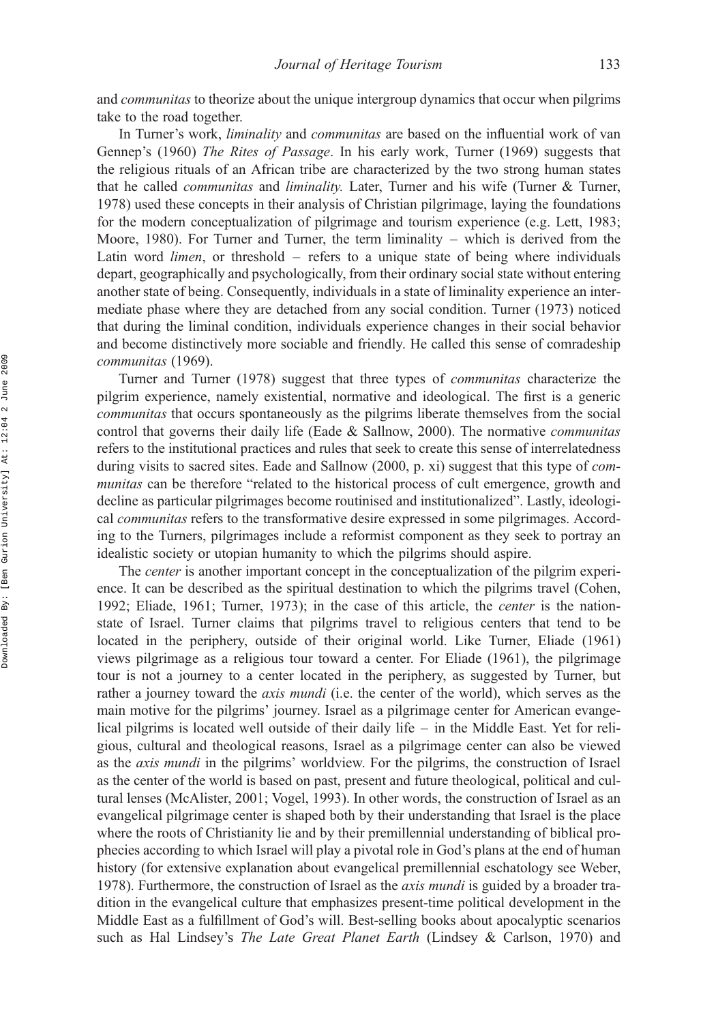and communitas to theorize about the unique intergroup dynamics that occur when pilgrims take to the road together.

In Turner's work, *liminality* and *communitas* are based on the influential work of van Gennep's (1960) The Rites of Passage. In his early work, Turner (1969) suggests that the religious rituals of an African tribe are characterized by the two strong human states that he called communitas and liminality. Later, Turner and his wife (Turner & Turner, 1978) used these concepts in their analysis of Christian pilgrimage, laying the foundations for the modern conceptualization of pilgrimage and tourism experience (e.g. Lett, 1983; Moore, 1980). For Turner and Turner, the term liminality – which is derived from the Latin word *limen*, or threshold – refers to a unique state of being where individuals depart, geographically and psychologically, from their ordinary social state without entering another state of being. Consequently, individuals in a state of liminality experience an intermediate phase where they are detached from any social condition. Turner (1973) noticed that during the liminal condition, individuals experience changes in their social behavior and become distinctively more sociable and friendly. He called this sense of comradeship communitas (1969).

Turner and Turner (1978) suggest that three types of *communitas* characterize the pilgrim experience, namely existential, normative and ideological. The first is a generic communitas that occurs spontaneously as the pilgrims liberate themselves from the social control that governs their daily life (Eade & Sallnow, 2000). The normative communitas refers to the institutional practices and rules that seek to create this sense of interrelatedness during visits to sacred sites. Eade and Sallnow (2000, p. xi) suggest that this type of communitas can be therefore "related to the historical process of cult emergence, growth and decline as particular pilgrimages become routinised and institutionalized". Lastly, ideological communitas refers to the transformative desire expressed in some pilgrimages. According to the Turners, pilgrimages include a reformist component as they seek to portray an idealistic society or utopian humanity to which the pilgrims should aspire.

The *center* is another important concept in the conceptualization of the pilgrim experience. It can be described as the spiritual destination to which the pilgrims travel (Cohen, 1992; Eliade, 1961; Turner, 1973); in the case of this article, the center is the nationstate of Israel. Turner claims that pilgrims travel to religious centers that tend to be located in the periphery, outside of their original world. Like Turner, Eliade (1961) views pilgrimage as a religious tour toward a center. For Eliade (1961), the pilgrimage tour is not a journey to a center located in the periphery, as suggested by Turner, but rather a journey toward the *axis mundi* (i.e. the center of the world), which serves as the main motive for the pilgrims' journey. Israel as a pilgrimage center for American evangelical pilgrims is located well outside of their daily life – in the Middle East. Yet for religious, cultural and theological reasons, Israel as a pilgrimage center can also be viewed as the axis mundi in the pilgrims' worldview. For the pilgrims, the construction of Israel as the center of the world is based on past, present and future theological, political and cultural lenses (McAlister, 2001; Vogel, 1993). In other words, the construction of Israel as an evangelical pilgrimage center is shaped both by their understanding that Israel is the place where the roots of Christianity lie and by their premillennial understanding of biblical prophecies according to which Israel will play a pivotal role in God's plans at the end of human history (for extensive explanation about evangelical premillennial eschatology see Weber, 1978). Furthermore, the construction of Israel as the *axis mundi* is guided by a broader tradition in the evangelical culture that emphasizes present-time political development in the Middle East as a fulfillment of God's will. Best-selling books about apocalyptic scenarios such as Hal Lindsey's *The Late Great Planet Earth* (Lindsey & Carlson, 1970) and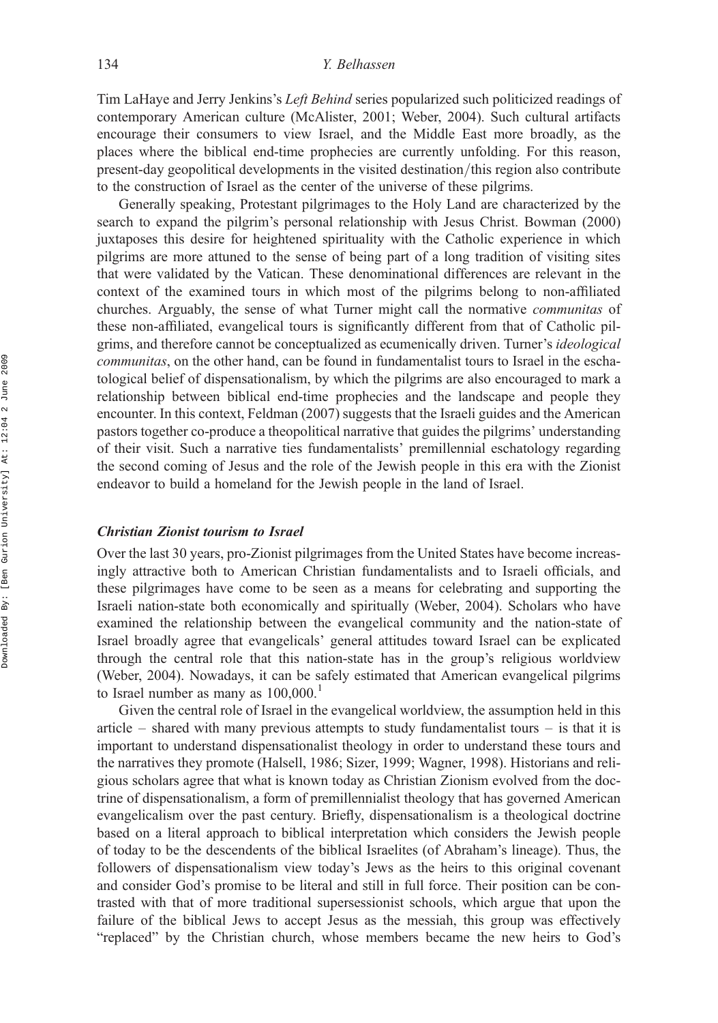Tim LaHaye and Jerry Jenkins's Left Behind series popularized such politicized readings of contemporary American culture (McAlister, 2001; Weber, 2004). Such cultural artifacts encourage their consumers to view Israel, and the Middle East more broadly, as the places where the biblical end-time prophecies are currently unfolding. For this reason, present-day geopolitical developments in the visited destination/this region also contribute to the construction of Israel as the center of the universe of these pilgrims.

Generally speaking, Protestant pilgrimages to the Holy Land are characterized by the search to expand the pilgrim's personal relationship with Jesus Christ. Bowman (2000) juxtaposes this desire for heightened spirituality with the Catholic experience in which pilgrims are more attuned to the sense of being part of a long tradition of visiting sites that were validated by the Vatican. These denominational differences are relevant in the context of the examined tours in which most of the pilgrims belong to non-affiliated churches. Arguably, the sense of what Turner might call the normative communitas of these non-affiliated, evangelical tours is significantly different from that of Catholic pilgrims, and therefore cannot be conceptualized as ecumenically driven. Turner's ideological communitas, on the other hand, can be found in fundamentalist tours to Israel in the eschatological belief of dispensationalism, by which the pilgrims are also encouraged to mark a relationship between biblical end-time prophecies and the landscape and people they encounter. In this context, Feldman (2007) suggests that the Israeli guides and the American pastors together co-produce a theopolitical narrative that guides the pilgrims' understanding of their visit. Such a narrative ties fundamentalists' premillennial eschatology regarding the second coming of Jesus and the role of the Jewish people in this era with the Zionist endeavor to build a homeland for the Jewish people in the land of Israel.

## Christian Zionist tourism to Israel

Over the last 30 years, pro-Zionist pilgrimages from the United States have become increasingly attractive both to American Christian fundamentalists and to Israeli officials, and these pilgrimages have come to be seen as a means for celebrating and supporting the Israeli nation-state both economically and spiritually (Weber, 2004). Scholars who have examined the relationship between the evangelical community and the nation-state of Israel broadly agree that evangelicals' general attitudes toward Israel can be explicated through the central role that this nation-state has in the group's religious worldview (Weber, 2004). Nowadays, it can be safely estimated that American evangelical pilgrims to Israel number as many as  $100,000$ .<sup>1</sup>

Given the central role of Israel in the evangelical worldview, the assumption held in this article – shared with many previous attempts to study fundamentalist tours – is that it is important to understand dispensationalist theology in order to understand these tours and the narratives they promote (Halsell, 1986; Sizer, 1999; Wagner, 1998). Historians and religious scholars agree that what is known today as Christian Zionism evolved from the doctrine of dispensationalism, a form of premillennialist theology that has governed American evangelicalism over the past century. Briefly, dispensationalism is a theological doctrine based on a literal approach to biblical interpretation which considers the Jewish people of today to be the descendents of the biblical Israelites (of Abraham's lineage). Thus, the followers of dispensationalism view today's Jews as the heirs to this original covenant and consider God's promise to be literal and still in full force. Their position can be contrasted with that of more traditional supersessionist schools, which argue that upon the failure of the biblical Jews to accept Jesus as the messiah, this group was effectively "replaced" by the Christian church, whose members became the new heirs to God's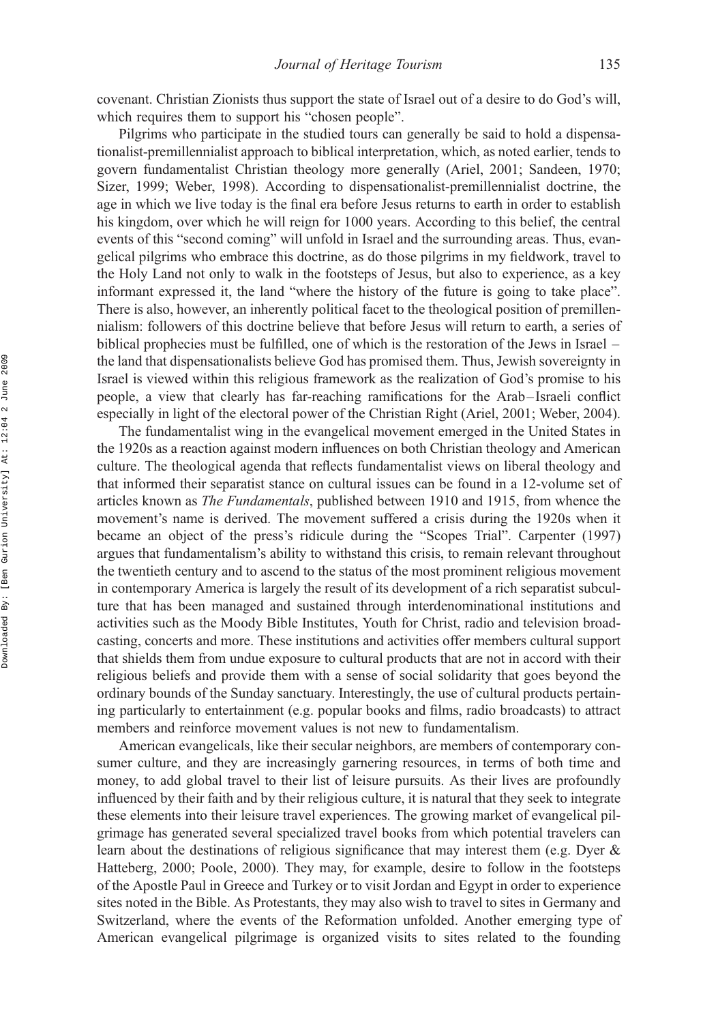covenant. Christian Zionists thus support the state of Israel out of a desire to do God's will, which requires them to support his "chosen people".

Pilgrims who participate in the studied tours can generally be said to hold a dispensationalist-premillennialist approach to biblical interpretation, which, as noted earlier, tends to govern fundamentalist Christian theology more generally (Ariel, 2001; Sandeen, 1970; Sizer, 1999; Weber, 1998). According to dispensationalist-premillennialist doctrine, the age in which we live today is the final era before Jesus returns to earth in order to establish his kingdom, over which he will reign for 1000 years. According to this belief, the central events of this "second coming" will unfold in Israel and the surrounding areas. Thus, evangelical pilgrims who embrace this doctrine, as do those pilgrims in my fieldwork, travel to the Holy Land not only to walk in the footsteps of Jesus, but also to experience, as a key informant expressed it, the land "where the history of the future is going to take place". There is also, however, an inherently political facet to the theological position of premillennialism: followers of this doctrine believe that before Jesus will return to earth, a series of biblical prophecies must be fulfilled, one of which is the restoration of the Jews in Israel – the land that dispensationalists believe God has promised them. Thus, Jewish sovereignty in Israel is viewed within this religious framework as the realization of God's promise to his people, a view that clearly has far-reaching ramifications for the Arab – Israeli conflict especially in light of the electoral power of the Christian Right (Ariel, 2001; Weber, 2004).

The fundamentalist wing in the evangelical movement emerged in the United States in the 1920s as a reaction against modern influences on both Christian theology and American culture. The theological agenda that reflects fundamentalist views on liberal theology and that informed their separatist stance on cultural issues can be found in a 12-volume set of articles known as The Fundamentals, published between 1910 and 1915, from whence the movement's name is derived. The movement suffered a crisis during the 1920s when it became an object of the press's ridicule during the "Scopes Trial". Carpenter (1997) argues that fundamentalism's ability to withstand this crisis, to remain relevant throughout the twentieth century and to ascend to the status of the most prominent religious movement in contemporary America is largely the result of its development of a rich separatist subculture that has been managed and sustained through interdenominational institutions and activities such as the Moody Bible Institutes, Youth for Christ, radio and television broadcasting, concerts and more. These institutions and activities offer members cultural support that shields them from undue exposure to cultural products that are not in accord with their religious beliefs and provide them with a sense of social solidarity that goes beyond the ordinary bounds of the Sunday sanctuary. Interestingly, the use of cultural products pertaining particularly to entertainment (e.g. popular books and films, radio broadcasts) to attract members and reinforce movement values is not new to fundamentalism.

American evangelicals, like their secular neighbors, are members of contemporary consumer culture, and they are increasingly garnering resources, in terms of both time and money, to add global travel to their list of leisure pursuits. As their lives are profoundly influenced by their faith and by their religious culture, it is natural that they seek to integrate these elements into their leisure travel experiences. The growing market of evangelical pilgrimage has generated several specialized travel books from which potential travelers can learn about the destinations of religious significance that may interest them (e.g. Dyer & Hatteberg, 2000; Poole, 2000). They may, for example, desire to follow in the footsteps of the Apostle Paul in Greece and Turkey or to visit Jordan and Egypt in order to experience sites noted in the Bible. As Protestants, they may also wish to travel to sites in Germany and Switzerland, where the events of the Reformation unfolded. Another emerging type of American evangelical pilgrimage is organized visits to sites related to the founding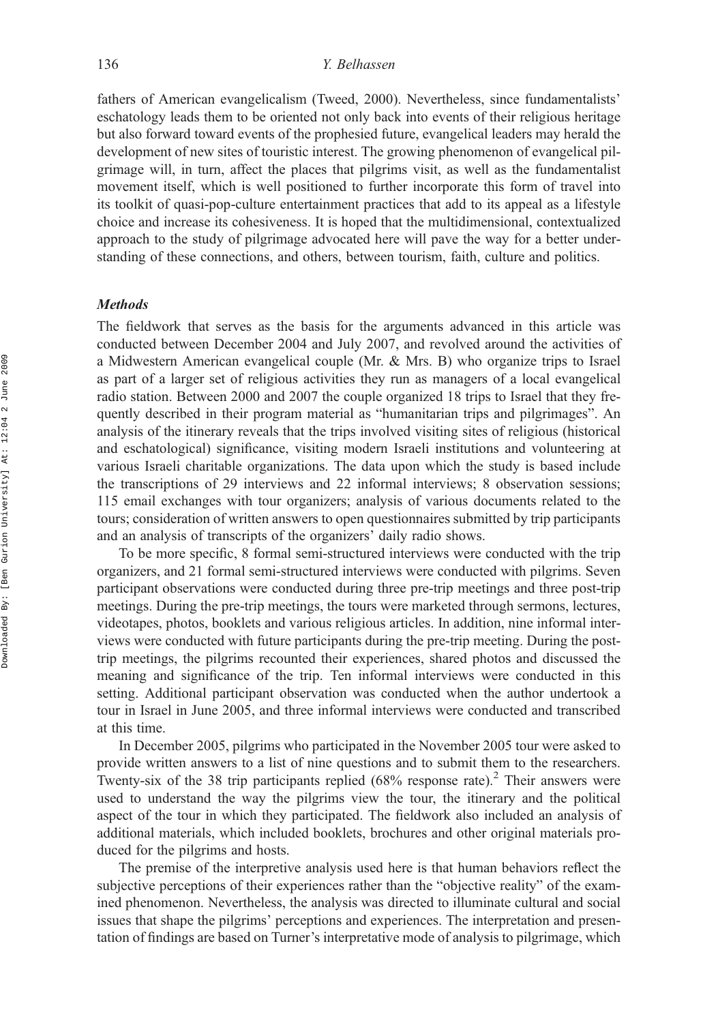fathers of American evangelicalism (Tweed, 2000). Nevertheless, since fundamentalists' eschatology leads them to be oriented not only back into events of their religious heritage but also forward toward events of the prophesied future, evangelical leaders may herald the development of new sites of touristic interest. The growing phenomenon of evangelical pilgrimage will, in turn, affect the places that pilgrims visit, as well as the fundamentalist movement itself, which is well positioned to further incorporate this form of travel into its toolkit of quasi-pop-culture entertainment practices that add to its appeal as a lifestyle choice and increase its cohesiveness. It is hoped that the multidimensional, contextualized approach to the study of pilgrimage advocated here will pave the way for a better understanding of these connections, and others, between tourism, faith, culture and politics.

## **Methods**

The fieldwork that serves as the basis for the arguments advanced in this article was conducted between December 2004 and July 2007, and revolved around the activities of a Midwestern American evangelical couple (Mr. & Mrs. B) who organize trips to Israel as part of a larger set of religious activities they run as managers of a local evangelical radio station. Between 2000 and 2007 the couple organized 18 trips to Israel that they frequently described in their program material as "humanitarian trips and pilgrimages". An analysis of the itinerary reveals that the trips involved visiting sites of religious (historical and eschatological) significance, visiting modern Israeli institutions and volunteering at various Israeli charitable organizations. The data upon which the study is based include the transcriptions of 29 interviews and 22 informal interviews; 8 observation sessions; 115 email exchanges with tour organizers; analysis of various documents related to the tours; consideration of written answers to open questionnaires submitted by trip participants and an analysis of transcripts of the organizers' daily radio shows.

To be more specific, 8 formal semi-structured interviews were conducted with the trip organizers, and 21 formal semi-structured interviews were conducted with pilgrims. Seven participant observations were conducted during three pre-trip meetings and three post-trip meetings. During the pre-trip meetings, the tours were marketed through sermons, lectures, videotapes, photos, booklets and various religious articles. In addition, nine informal interviews were conducted with future participants during the pre-trip meeting. During the posttrip meetings, the pilgrims recounted their experiences, shared photos and discussed the meaning and significance of the trip. Ten informal interviews were conducted in this setting. Additional participant observation was conducted when the author undertook a tour in Israel in June 2005, and three informal interviews were conducted and transcribed at this time.

In December 2005, pilgrims who participated in the November 2005 tour were asked to provide written answers to a list of nine questions and to submit them to the researchers. Twenty-six of the 38 trip participants replied  $(68\%$  response rate).<sup>2</sup> Their answers were used to understand the way the pilgrims view the tour, the itinerary and the political aspect of the tour in which they participated. The fieldwork also included an analysis of additional materials, which included booklets, brochures and other original materials produced for the pilgrims and hosts.

The premise of the interpretive analysis used here is that human behaviors reflect the subjective perceptions of their experiences rather than the "objective reality" of the examined phenomenon. Nevertheless, the analysis was directed to illuminate cultural and social issues that shape the pilgrims' perceptions and experiences. The interpretation and presentation of findings are based on Turner's interpretative mode of analysis to pilgrimage, which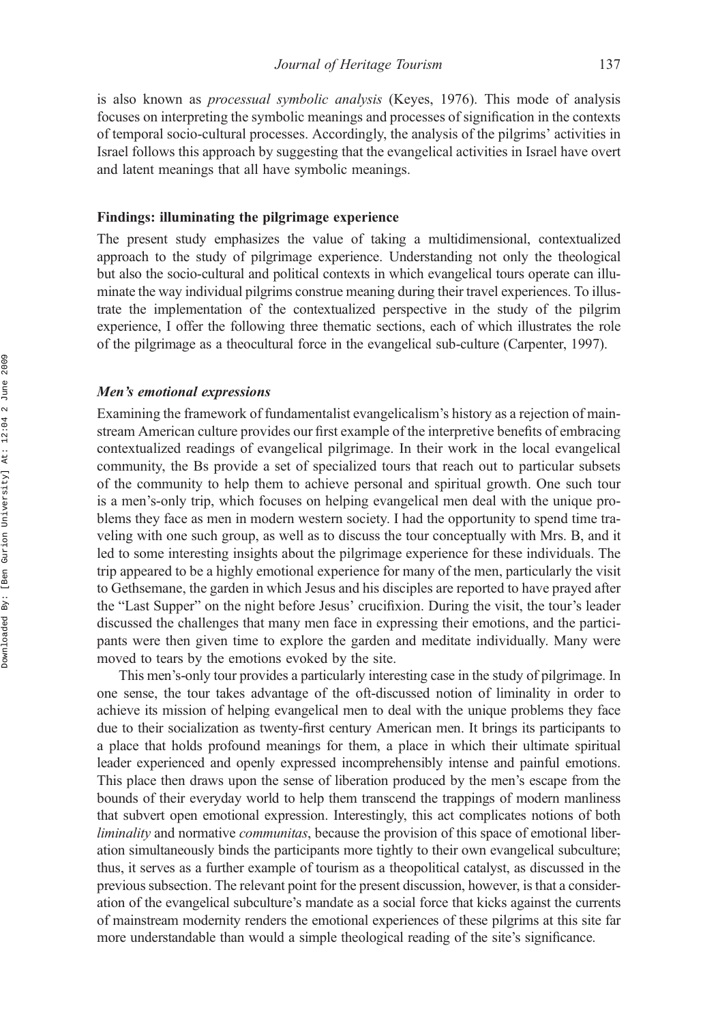is also known as processual symbolic analysis (Keyes, 1976). This mode of analysis focuses on interpreting the symbolic meanings and processes of signification in the contexts of temporal socio-cultural processes. Accordingly, the analysis of the pilgrims' activities in Israel follows this approach by suggesting that the evangelical activities in Israel have overt and latent meanings that all have symbolic meanings.

## Findings: illuminating the pilgrimage experience

The present study emphasizes the value of taking a multidimensional, contextualized approach to the study of pilgrimage experience. Understanding not only the theological but also the socio-cultural and political contexts in which evangelical tours operate can illuminate the way individual pilgrims construe meaning during their travel experiences. To illustrate the implementation of the contextualized perspective in the study of the pilgrim experience, I offer the following three thematic sections, each of which illustrates the role of the pilgrimage as a theocultural force in the evangelical sub-culture (Carpenter, 1997).

## Men's emotional expressions

Examining the framework of fundamentalist evangelicalism's history as a rejection of mainstream American culture provides our first example of the interpretive benefits of embracing contextualized readings of evangelical pilgrimage. In their work in the local evangelical community, the Bs provide a set of specialized tours that reach out to particular subsets of the community to help them to achieve personal and spiritual growth. One such tour is a men's-only trip, which focuses on helping evangelical men deal with the unique problems they face as men in modern western society. I had the opportunity to spend time traveling with one such group, as well as to discuss the tour conceptually with Mrs. B, and it led to some interesting insights about the pilgrimage experience for these individuals. The trip appeared to be a highly emotional experience for many of the men, particularly the visit to Gethsemane, the garden in which Jesus and his disciples are reported to have prayed after the "Last Supper" on the night before Jesus' crucifixion. During the visit, the tour's leader discussed the challenges that many men face in expressing their emotions, and the participants were then given time to explore the garden and meditate individually. Many were moved to tears by the emotions evoked by the site.

This men's-only tour provides a particularly interesting case in the study of pilgrimage. In one sense, the tour takes advantage of the oft-discussed notion of liminality in order to achieve its mission of helping evangelical men to deal with the unique problems they face due to their socialization as twenty-first century American men. It brings its participants to a place that holds profound meanings for them, a place in which their ultimate spiritual leader experienced and openly expressed incomprehensibly intense and painful emotions. This place then draws upon the sense of liberation produced by the men's escape from the bounds of their everyday world to help them transcend the trappings of modern manliness that subvert open emotional expression. Interestingly, this act complicates notions of both liminality and normative communitas, because the provision of this space of emotional liberation simultaneously binds the participants more tightly to their own evangelical subculture; thus, it serves as a further example of tourism as a theopolitical catalyst, as discussed in the previous subsection. The relevant point for the present discussion, however, is that a consideration of the evangelical subculture's mandate as a social force that kicks against the currents of mainstream modernity renders the emotional experiences of these pilgrims at this site far more understandable than would a simple theological reading of the site's significance.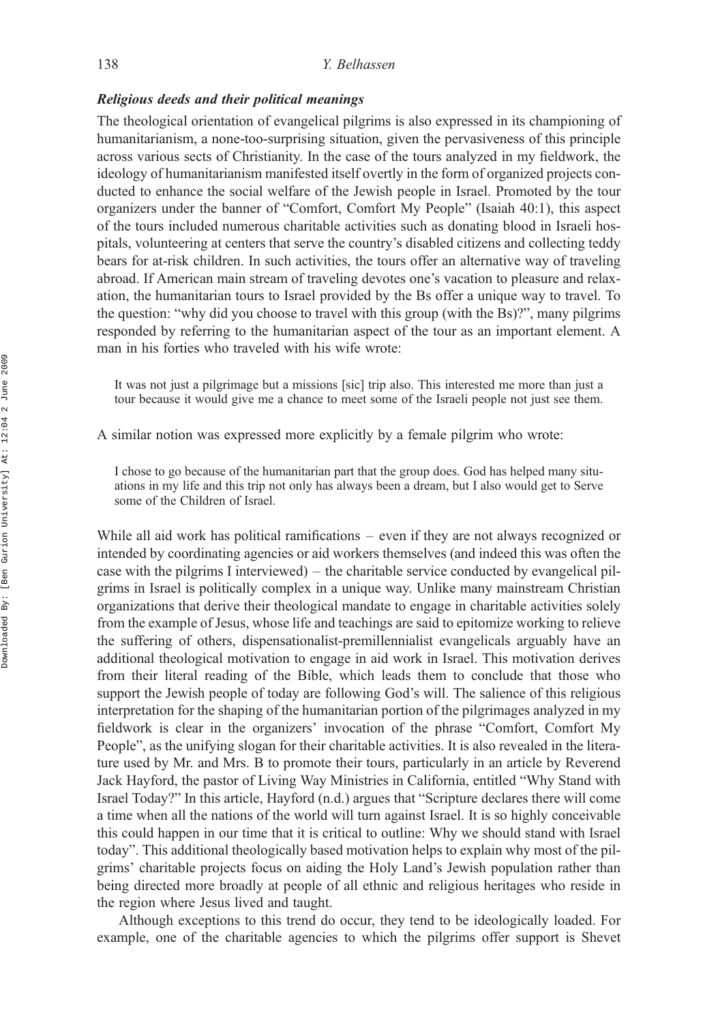## Religious deeds and their political meanings

The theological orientation of evangelical pilgrims is also expressed in its championing of humanitarianism, a none-too-surprising situation, given the pervasiveness of this principle across various sects of Christianity. In the case of the tours analyzed in my fieldwork, the ideology of humanitarianism manifested itself overtly in the form of organized projects conducted to enhance the social welfare of the Jewish people in Israel. Promoted by the tour organizers under the banner of "Comfort, Comfort My People" (Isaiah 40:1), this aspect of the tours included numerous charitable activities such as donating blood in Israeli hospitals, volunteering at centers that serve the country's disabled citizens and collecting teddy bears for at-risk children. In such activities, the tours offer an alternative way of traveling abroad. If American main stream of traveling devotes one's vacation to pleasure and relaxation, the humanitarian tours to Israel provided by the Bs offer a unique way to travel. To the question: "why did you choose to travel with this group (with the Bs)?", many pilgrims responded by referring to the humanitarian aspect of the tour as an important element. A man in his forties who traveled with his wife wrote:

It was not just a pilgrimage but a missions [sic] trip also. This interested me more than just a tour because it would give me a chance to meet some of the Israeli people not just see them.

A similar notion was expressed more explicitly by a female pilgrim who wrote:

I chose to go because of the humanitarian part that the group does. God has helped many situations in my life and this trip not only has always been a dream, but I also would get to Serve some of the Children of Israel.

While all aid work has political ramifications – even if they are not always recognized or intended by coordinating agencies or aid workers themselves (and indeed this was often the case with the pilgrims I interviewed) – the charitable service conducted by evangelical pilgrims in Israel is politically complex in a unique way. Unlike many mainstream Christian organizations that derive their theological mandate to engage in charitable activities solely from the example of Jesus, whose life and teachings are said to epitomize working to relieve the suffering of others, dispensationalist-premillennialist evangelicals arguably have an additional theological motivation to engage in aid work in Israel. This motivation derives from their literal reading of the Bible, which leads them to conclude that those who support the Jewish people of today are following God's will. The salience of this religious interpretation for the shaping of the humanitarian portion of the pilgrimages analyzed in my fieldwork is clear in the organizers' invocation of the phrase "Comfort, Comfort My People", as the unifying slogan for their charitable activities. It is also revealed in the literature used by Mr. and Mrs. B to promote their tours, particularly in an article by Reverend Jack Hayford, the pastor of Living Way Ministries in California, entitled "Why Stand with Israel Today?" In this article, Hayford (n.d.) argues that "Scripture declares there will come a time when all the nations of the world will turn against Israel. It is so highly conceivable this could happen in our time that it is critical to outline: Why we should stand with Israel today". This additional theologically based motivation helps to explain why most of the pilgrims' charitable projects focus on aiding the Holy Land's Jewish population rather than being directed more broadly at people of all ethnic and religious heritages who reside in the region where Jesus lived and taught.

Although exceptions to this trend do occur, they tend to be ideologically loaded. For example, one of the charitable agencies to which the pilgrims offer support is Shevet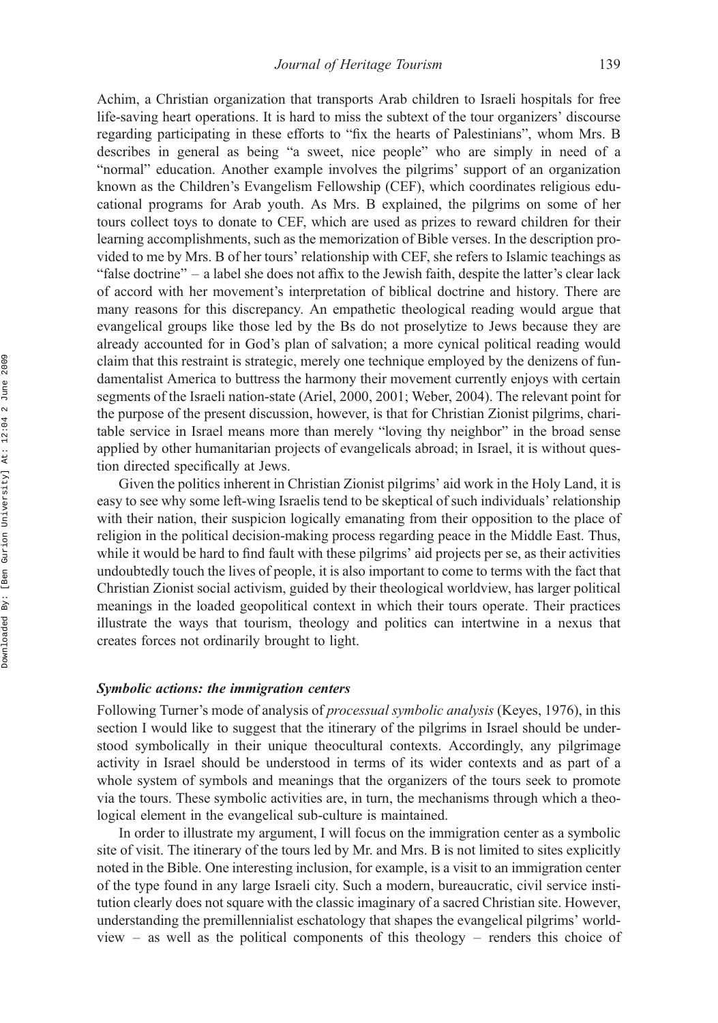Achim, a Christian organization that transports Arab children to Israeli hospitals for free life-saving heart operations. It is hard to miss the subtext of the tour organizers' discourse regarding participating in these efforts to "fix the hearts of Palestinians", whom Mrs. B describes in general as being "a sweet, nice people" who are simply in need of a "normal" education. Another example involves the pilgrims' support of an organization known as the Children's Evangelism Fellowship (CEF), which coordinates religious educational programs for Arab youth. As Mrs. B explained, the pilgrims on some of her tours collect toys to donate to CEF, which are used as prizes to reward children for their learning accomplishments, such as the memorization of Bible verses. In the description provided to me by Mrs. B of her tours' relationship with CEF, she refers to Islamic teachings as "false doctrine" – a label she does not affix to the Jewish faith, despite the latter's clear lack of accord with her movement's interpretation of biblical doctrine and history. There are many reasons for this discrepancy. An empathetic theological reading would argue that evangelical groups like those led by the Bs do not proselytize to Jews because they are already accounted for in God's plan of salvation; a more cynical political reading would claim that this restraint is strategic, merely one technique employed by the denizens of fundamentalist America to buttress the harmony their movement currently enjoys with certain segments of the Israeli nation-state (Ariel, 2000, 2001; Weber, 2004). The relevant point for the purpose of the present discussion, however, is that for Christian Zionist pilgrims, charitable service in Israel means more than merely "loving thy neighbor" in the broad sense applied by other humanitarian projects of evangelicals abroad; in Israel, it is without question directed specifically at Jews.

Given the politics inherent in Christian Zionist pilgrims' aid work in the Holy Land, it is easy to see why some left-wing Israelis tend to be skeptical of such individuals' relationship with their nation, their suspicion logically emanating from their opposition to the place of religion in the political decision-making process regarding peace in the Middle East. Thus, while it would be hard to find fault with these pilgrims' aid projects per se, as their activities undoubtedly touch the lives of people, it is also important to come to terms with the fact that Christian Zionist social activism, guided by their theological worldview, has larger political meanings in the loaded geopolitical context in which their tours operate. Their practices illustrate the ways that tourism, theology and politics can intertwine in a nexus that creates forces not ordinarily brought to light.

## Symbolic actions: the immigration centers

Following Turner's mode of analysis of processual symbolic analysis (Keyes, 1976), in this section I would like to suggest that the itinerary of the pilgrims in Israel should be understood symbolically in their unique theocultural contexts. Accordingly, any pilgrimage activity in Israel should be understood in terms of its wider contexts and as part of a whole system of symbols and meanings that the organizers of the tours seek to promote via the tours. These symbolic activities are, in turn, the mechanisms through which a theological element in the evangelical sub-culture is maintained.

In order to illustrate my argument, I will focus on the immigration center as a symbolic site of visit. The itinerary of the tours led by Mr. and Mrs. B is not limited to sites explicitly noted in the Bible. One interesting inclusion, for example, is a visit to an immigration center of the type found in any large Israeli city. Such a modern, bureaucratic, civil service institution clearly does not square with the classic imaginary of a sacred Christian site. However, understanding the premillennialist eschatology that shapes the evangelical pilgrims' worldview – as well as the political components of this theology – renders this choice of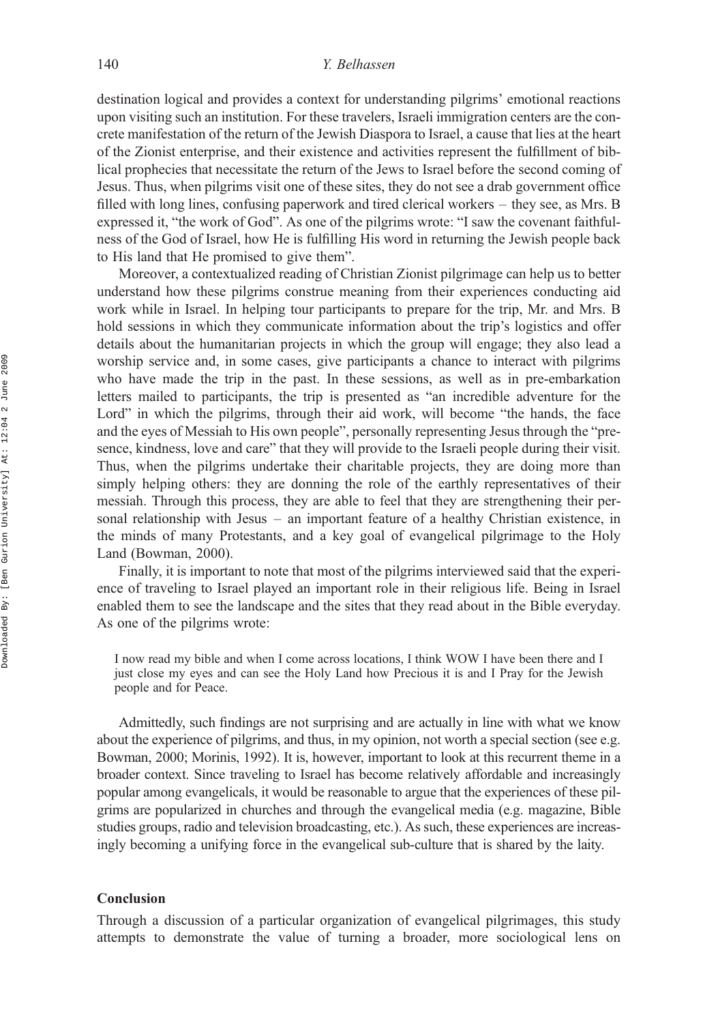destination logical and provides a context for understanding pilgrims' emotional reactions upon visiting such an institution. For these travelers, Israeli immigration centers are the concrete manifestation of the return of the Jewish Diaspora to Israel, a cause that lies at the heart of the Zionist enterprise, and their existence and activities represent the fulfillment of biblical prophecies that necessitate the return of the Jews to Israel before the second coming of Jesus. Thus, when pilgrims visit one of these sites, they do not see a drab government office filled with long lines, confusing paperwork and tired clerical workers – they see, as Mrs. B expressed it, "the work of God". As one of the pilgrims wrote: "I saw the covenant faithfulness of the God of Israel, how He is fulfilling His word in returning the Jewish people back to His land that He promised to give them".

Moreover, a contextualized reading of Christian Zionist pilgrimage can help us to better understand how these pilgrims construe meaning from their experiences conducting aid work while in Israel. In helping tour participants to prepare for the trip, Mr. and Mrs. B hold sessions in which they communicate information about the trip's logistics and offer details about the humanitarian projects in which the group will engage; they also lead a worship service and, in some cases, give participants a chance to interact with pilgrims who have made the trip in the past. In these sessions, as well as in pre-embarkation letters mailed to participants, the trip is presented as "an incredible adventure for the Lord" in which the pilgrims, through their aid work, will become "the hands, the face and the eyes of Messiah to His own people", personally representing Jesus through the "presence, kindness, love and care" that they will provide to the Israeli people during their visit. Thus, when the pilgrims undertake their charitable projects, they are doing more than simply helping others: they are donning the role of the earthly representatives of their messiah. Through this process, they are able to feel that they are strengthening their personal relationship with Jesus – an important feature of a healthy Christian existence, in the minds of many Protestants, and a key goal of evangelical pilgrimage to the Holy Land (Bowman, 2000).

Finally, it is important to note that most of the pilgrims interviewed said that the experience of traveling to Israel played an important role in their religious life. Being in Israel enabled them to see the landscape and the sites that they read about in the Bible everyday. As one of the pilgrims wrote:

I now read my bible and when I come across locations, I think WOW I have been there and I just close my eyes and can see the Holy Land how Precious it is and I Pray for the Jewish people and for Peace.

Admittedly, such findings are not surprising and are actually in line with what we know about the experience of pilgrims, and thus, in my opinion, not worth a special section (see e.g. Bowman, 2000; Morinis, 1992). It is, however, important to look at this recurrent theme in a broader context. Since traveling to Israel has become relatively affordable and increasingly popular among evangelicals, it would be reasonable to argue that the experiences of these pilgrims are popularized in churches and through the evangelical media (e.g. magazine, Bible studies groups, radio and television broadcasting, etc.). As such, these experiences are increasingly becoming a unifying force in the evangelical sub-culture that is shared by the laity.

## Conclusion

Through a discussion of a particular organization of evangelical pilgrimages, this study attempts to demonstrate the value of turning a broader, more sociological lens on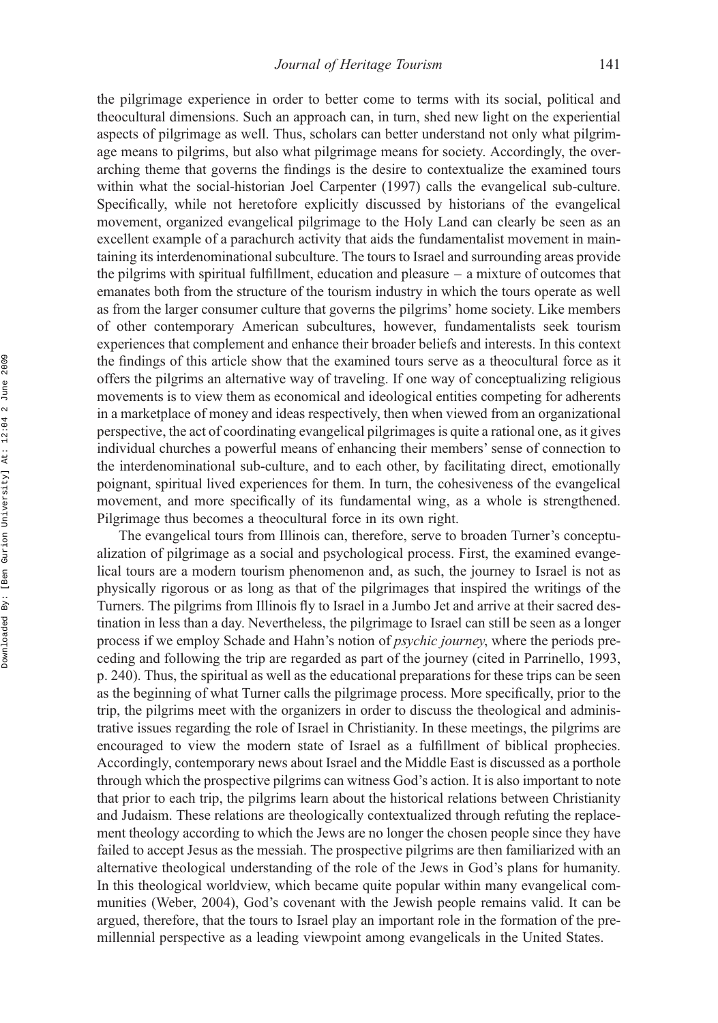the pilgrimage experience in order to better come to terms with its social, political and theocultural dimensions. Such an approach can, in turn, shed new light on the experiential aspects of pilgrimage as well. Thus, scholars can better understand not only what pilgrimage means to pilgrims, but also what pilgrimage means for society. Accordingly, the overarching theme that governs the findings is the desire to contextualize the examined tours within what the social-historian Joel Carpenter (1997) calls the evangelical sub-culture. Specifically, while not heretofore explicitly discussed by historians of the evangelical movement, organized evangelical pilgrimage to the Holy Land can clearly be seen as an excellent example of a parachurch activity that aids the fundamentalist movement in maintaining its interdenominational subculture. The tours to Israel and surrounding areas provide the pilgrims with spiritual fulfillment, education and pleasure – a mixture of outcomes that emanates both from the structure of the tourism industry in which the tours operate as well as from the larger consumer culture that governs the pilgrims' home society. Like members of other contemporary American subcultures, however, fundamentalists seek tourism experiences that complement and enhance their broader beliefs and interests. In this context the findings of this article show that the examined tours serve as a theocultural force as it offers the pilgrims an alternative way of traveling. If one way of conceptualizing religious movements is to view them as economical and ideological entities competing for adherents in a marketplace of money and ideas respectively, then when viewed from an organizational perspective, the act of coordinating evangelical pilgrimages is quite a rational one, as it gives individual churches a powerful means of enhancing their members' sense of connection to the interdenominational sub-culture, and to each other, by facilitating direct, emotionally poignant, spiritual lived experiences for them. In turn, the cohesiveness of the evangelical movement, and more specifically of its fundamental wing, as a whole is strengthened. Pilgrimage thus becomes a theocultural force in its own right.

The evangelical tours from Illinois can, therefore, serve to broaden Turner's conceptualization of pilgrimage as a social and psychological process. First, the examined evangelical tours are a modern tourism phenomenon and, as such, the journey to Israel is not as physically rigorous or as long as that of the pilgrimages that inspired the writings of the Turners. The pilgrims from Illinois fly to Israel in a Jumbo Jet and arrive at their sacred destination in less than a day. Nevertheless, the pilgrimage to Israel can still be seen as a longer process if we employ Schade and Hahn's notion of psychic journey, where the periods preceding and following the trip are regarded as part of the journey (cited in Parrinello, 1993, p. 240). Thus, the spiritual as well as the educational preparations for these trips can be seen as the beginning of what Turner calls the pilgrimage process. More specifically, prior to the trip, the pilgrims meet with the organizers in order to discuss the theological and administrative issues regarding the role of Israel in Christianity. In these meetings, the pilgrims are encouraged to view the modern state of Israel as a fulfillment of biblical prophecies. Accordingly, contemporary news about Israel and the Middle East is discussed as a porthole through which the prospective pilgrims can witness God's action. It is also important to note that prior to each trip, the pilgrims learn about the historical relations between Christianity and Judaism. These relations are theologically contextualized through refuting the replacement theology according to which the Jews are no longer the chosen people since they have failed to accept Jesus as the messiah. The prospective pilgrims are then familiarized with an alternative theological understanding of the role of the Jews in God's plans for humanity. In this theological worldview, which became quite popular within many evangelical communities (Weber, 2004), God's covenant with the Jewish people remains valid. It can be argued, therefore, that the tours to Israel play an important role in the formation of the premillennial perspective as a leading viewpoint among evangelicals in the United States.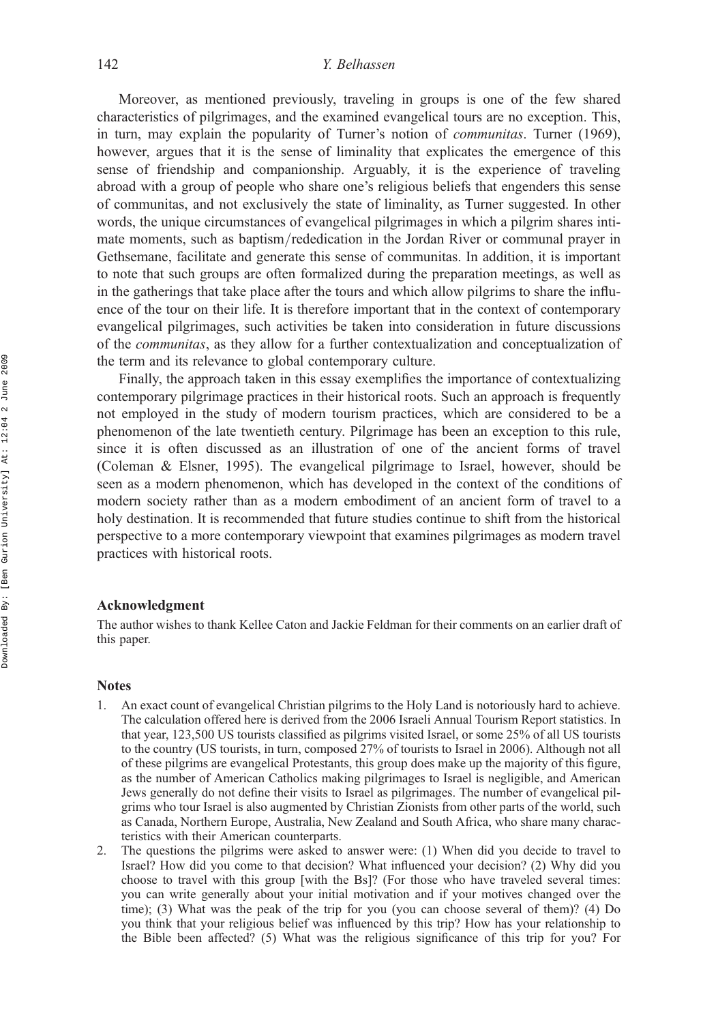## 142 Y. Belhassen

Moreover, as mentioned previously, traveling in groups is one of the few shared characteristics of pilgrimages, and the examined evangelical tours are no exception. This, in turn, may explain the popularity of Turner's notion of communitas. Turner (1969), however, argues that it is the sense of liminality that explicates the emergence of this sense of friendship and companionship. Arguably, it is the experience of traveling abroad with a group of people who share one's religious beliefs that engenders this sense of communitas, and not exclusively the state of liminality, as Turner suggested. In other words, the unique circumstances of evangelical pilgrimages in which a pilgrim shares intimate moments, such as baptism/rededication in the Jordan River or communal prayer in Gethsemane, facilitate and generate this sense of communitas. In addition, it is important to note that such groups are often formalized during the preparation meetings, as well as in the gatherings that take place after the tours and which allow pilgrims to share the influence of the tour on their life. It is therefore important that in the context of contemporary evangelical pilgrimages, such activities be taken into consideration in future discussions of the communitas, as they allow for a further contextualization and conceptualization of the term and its relevance to global contemporary culture.

Finally, the approach taken in this essay exemplifies the importance of contextualizing contemporary pilgrimage practices in their historical roots. Such an approach is frequently not employed in the study of modern tourism practices, which are considered to be a phenomenon of the late twentieth century. Pilgrimage has been an exception to this rule, since it is often discussed as an illustration of one of the ancient forms of travel (Coleman & Elsner, 1995). The evangelical pilgrimage to Israel, however, should be seen as a modern phenomenon, which has developed in the context of the conditions of modern society rather than as a modern embodiment of an ancient form of travel to a holy destination. It is recommended that future studies continue to shift from the historical perspective to a more contemporary viewpoint that examines pilgrimages as modern travel practices with historical roots.

#### Acknowledgment

The author wishes to thank Kellee Caton and Jackie Feldman for their comments on an earlier draft of this paper.

#### **Notes**

- 1. An exact count of evangelical Christian pilgrims to the Holy Land is notoriously hard to achieve. The calculation offered here is derived from the 2006 Israeli Annual Tourism Report statistics. In that year, 123,500 US tourists classified as pilgrims visited Israel, or some 25% of all US tourists to the country (US tourists, in turn, composed 27% of tourists to Israel in 2006). Although not all of these pilgrims are evangelical Protestants, this group does make up the majority of this figure, as the number of American Catholics making pilgrimages to Israel is negligible, and American Jews generally do not define their visits to Israel as pilgrimages. The number of evangelical pilgrims who tour Israel is also augmented by Christian Zionists from other parts of the world, such as Canada, Northern Europe, Australia, New Zealand and South Africa, who share many characteristics with their American counterparts.
- 2. The questions the pilgrims were asked to answer were: (1) When did you decide to travel to Israel? How did you come to that decision? What influenced your decision? (2) Why did you choose to travel with this group [with the Bs]? (For those who have traveled several times: you can write generally about your initial motivation and if your motives changed over the time); (3) What was the peak of the trip for you (you can choose several of them)? (4) Do you think that your religious belief was influenced by this trip? How has your relationship to the Bible been affected? (5) What was the religious significance of this trip for you? For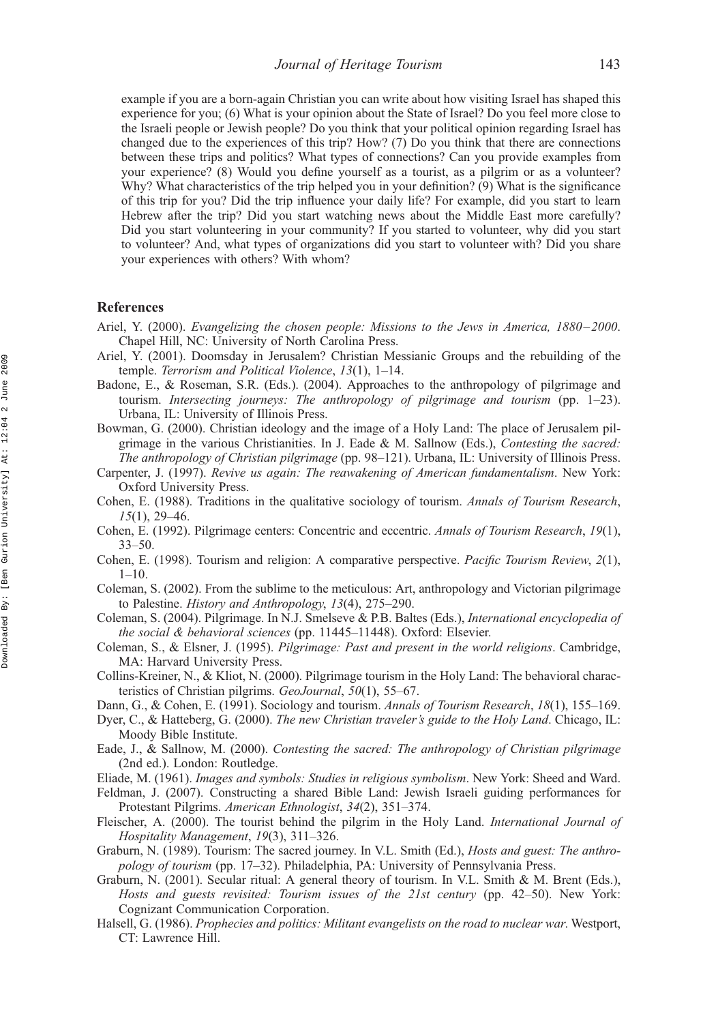example if you are a born-again Christian you can write about how visiting Israel has shaped this experience for you; (6) What is your opinion about the State of Israel? Do you feel more close to the Israeli people or Jewish people? Do you think that your political opinion regarding Israel has changed due to the experiences of this trip? How? (7) Do you think that there are connections between these trips and politics? What types of connections? Can you provide examples from your experience? (8) Would you define yourself as a tourist, as a pilgrim or as a volunteer? Why? What characteristics of the trip helped you in your definition? (9) What is the significance of this trip for you? Did the trip influence your daily life? For example, did you start to learn Hebrew after the trip? Did you start watching news about the Middle East more carefully? Did you start volunteering in your community? If you started to volunteer, why did you start to volunteer? And, what types of organizations did you start to volunteer with? Did you share your experiences with others? With whom?

## References

- Ariel, Y. (2000). Evangelizing the chosen people: Missions to the Jews in America, 1880–2000. Chapel Hill, NC: University of North Carolina Press.
- Ariel, Y. (2001). Doomsday in Jerusalem? Christian Messianic Groups and the rebuilding of the temple. Terrorism and Political Violence, 13(1), 1–14.
- Badone, E., & Roseman, S.R. (Eds.). (2004). Approaches to the anthropology of pilgrimage and tourism. Intersecting journeys: The anthropology of pilgrimage and tourism (pp. 1–23). Urbana, IL: University of Illinois Press.
- Bowman, G. (2000). Christian ideology and the image of a Holy Land: The place of Jerusalem pilgrimage in the various Christianities. In J. Eade  $\&$  M. Sallnow (Eds.), Contesting the sacred: The anthropology of Christian pilgrimage (pp. 98–121). Urbana, IL: University of Illinois Press.
- Carpenter, J. (1997). Revive us again: The reawakening of American fundamentalism. New York: Oxford University Press.
- Cohen, E. (1988). Traditions in the qualitative sociology of tourism. Annals of Tourism Research, 15(1), 29–46.
- Cohen, E. (1992). Pilgrimage centers: Concentric and eccentric. Annals of Tourism Research, 19(1), 33–50.
- Cohen, E. (1998). Tourism and religion: A comparative perspective. Pacific Tourism Review, 2(1),  $1-10$ .
- Coleman, S. (2002). From the sublime to the meticulous: Art, anthropology and Victorian pilgrimage to Palestine. History and Anthropology, 13(4), 275–290.
- Coleman, S. (2004). Pilgrimage. In N.J. Smelseve & P.B. Baltes (Eds.), International encyclopedia of the social & behavioral sciences (pp. 11445–11448). Oxford: Elsevier.
- Coleman, S., & Elsner, J. (1995). Pilgrimage: Past and present in the world religions. Cambridge, MA: Harvard University Press.
- Collins-Kreiner, N., & Kliot, N. (2000). Pilgrimage tourism in the Holy Land: The behavioral characteristics of Christian pilgrims. GeoJournal, 50(1), 55–67.
- Dann, G., & Cohen, E. (1991). Sociology and tourism. Annals of Tourism Research, 18(1), 155–169.
- Dyer, C., & Hatteberg, G. (2000). The new Christian traveler's guide to the Holy Land. Chicago, IL: Moody Bible Institute.
- Eade, J., & Sallnow, M. (2000). Contesting the sacred: The anthropology of Christian pilgrimage (2nd ed.). London: Routledge.
- Eliade, M. (1961). Images and symbols: Studies in religious symbolism. New York: Sheed and Ward.
- Feldman, J. (2007). Constructing a shared Bible Land: Jewish Israeli guiding performances for Protestant Pilgrims. American Ethnologist, 34(2), 351–374.
- Fleischer, A. (2000). The tourist behind the pilgrim in the Holy Land. International Journal of Hospitality Management, 19(3), 311–326.
- Graburn, N. (1989). Tourism: The sacred journey. In V.L. Smith (Ed.), Hosts and guest: The anthropology of tourism (pp. 17–32). Philadelphia, PA: University of Pennsylvania Press.
- Graburn, N. (2001). Secular ritual: A general theory of tourism. In V.L. Smith & M. Brent (Eds.), Hosts and guests revisited: Tourism issues of the 21st century (pp. 42–50). New York: Cognizant Communication Corporation.
- Halsell, G. (1986). Prophecies and politics: Militant evangelists on the road to nuclear war. Westport, CT: Lawrence Hill.